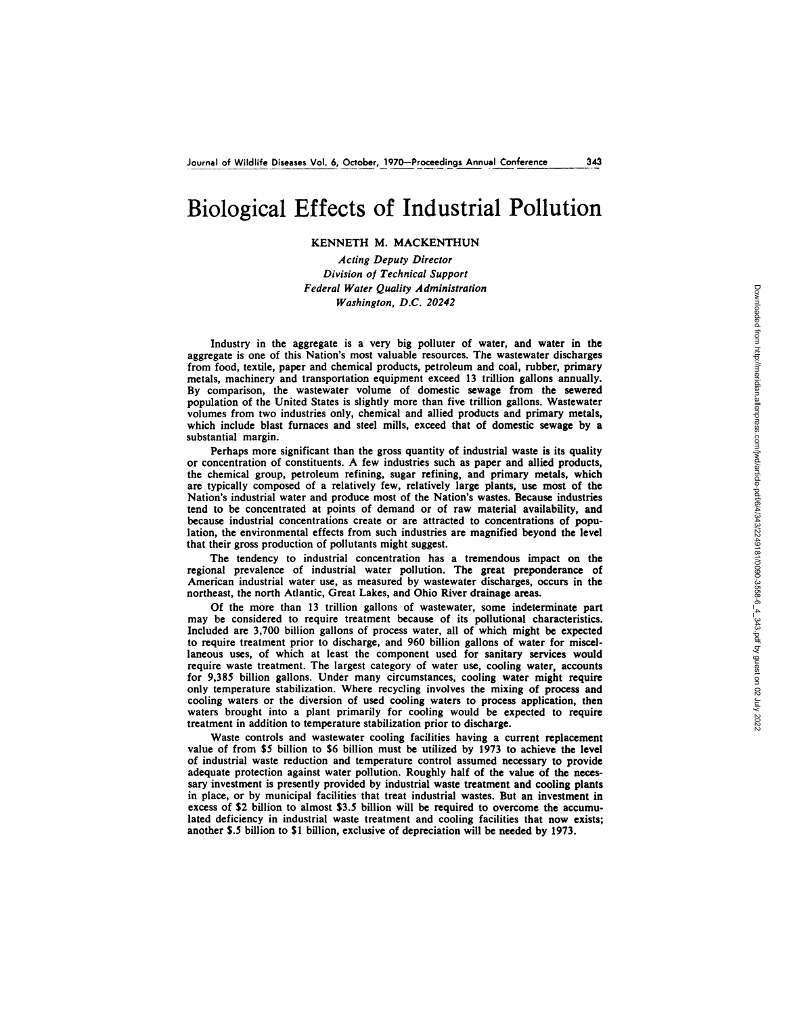## **Biological Effects of Industrial Pollution**

## **KENNETH M. MACKENTHUN**

*Acting Deputy Director Division of Technical Support Federal Water Quality Administration Washington, D.C. 20242*

Industry in the aggregate is a very big polluter of water, and water in the aggregate is one of this Nation's most valuable resources. The wastewater discharges from food, textile, paper and chemical products, petroleum and coal, rubber, primary metals, machinery and transportation equipment exceed 13 trillion gallons annually. By comparison, the wastewater volume of domestic sewage from the sewered population of the United States is slightly more than five trillion gallons. Wastewater volumes from two industries only, chemical and allied products and primary metals, which include blast furnaces and steel mills, exceed that of domestic sewage by a substantial margin.

Perhaps more significant than the gross quantity of industrial waste is its quality or concentration of constituents. A few industries such as paper and allied products, the chemical group, petroleum refining, sugar refining, and primary metals, which are typically composed of a relatively few, relatively large plants, use most of the Nation's industrial water and produce most of the Nation's wastes. Because industries tend to be concentrated at points of demand or of raw material availability, and because industrial concentrations create or are attracted to concentrations of population, the environmental effects from such industries are magnified beyond the level that their gross production of pollutants might suggest.

The tendency to industrial concentration has a tremendous impact on the regional prevalence of industrial water pollution. The great preponderance of American industrial water use, as measured by wastewater discharges, occurs in the northeast, the north Atlantic, Great Lakes, and Ohio River drainage areas.

**Of** the more than 13 trillion gallons of wastewater, some indeterminate part may be considered to require treatment because of its pollutional characteristics. Included are 3,700 billion gallons of process water, all of which might be expected to require treatment prior to discharge, and 960 billion gallons of water for miscellaneous uses, of which at least the component used for sanitary services would require waste treatment. The largest category of water use, cooling water, accounts for 9,385 billion gallons. Under many circumstances, cooling water might require only temperature stabilization. Where recycling involves the mixing of process and cooling waters or the diversion of used cooling waters to process application, then waters brought into a plant primarily for cooling would be expected to require treatment in addition to temperature stabilization prior to discharge.

Waste controls and wastewater cooling facilities having a current replacement value of from \$5 billion to \$6 billion must be utilized by 1973 to achieve the level of industrial waste reduction and temperature control assumed necessary to provide adequate protection against water pollution. Roughly half of the value of the neces sary investment is presently provided by industrial waste treatment and cooling plants in place, or by municipal facilities that treat industrial wastes. But an investment in excess of \$2 billion to almost \$3.5 billion will be required to overcome the accumulated deficiency in industrial waste treatment and cooling facilities that now exists; another \$.5 billion to \$1 billion, exclusive of depreciation will be needed by 1973.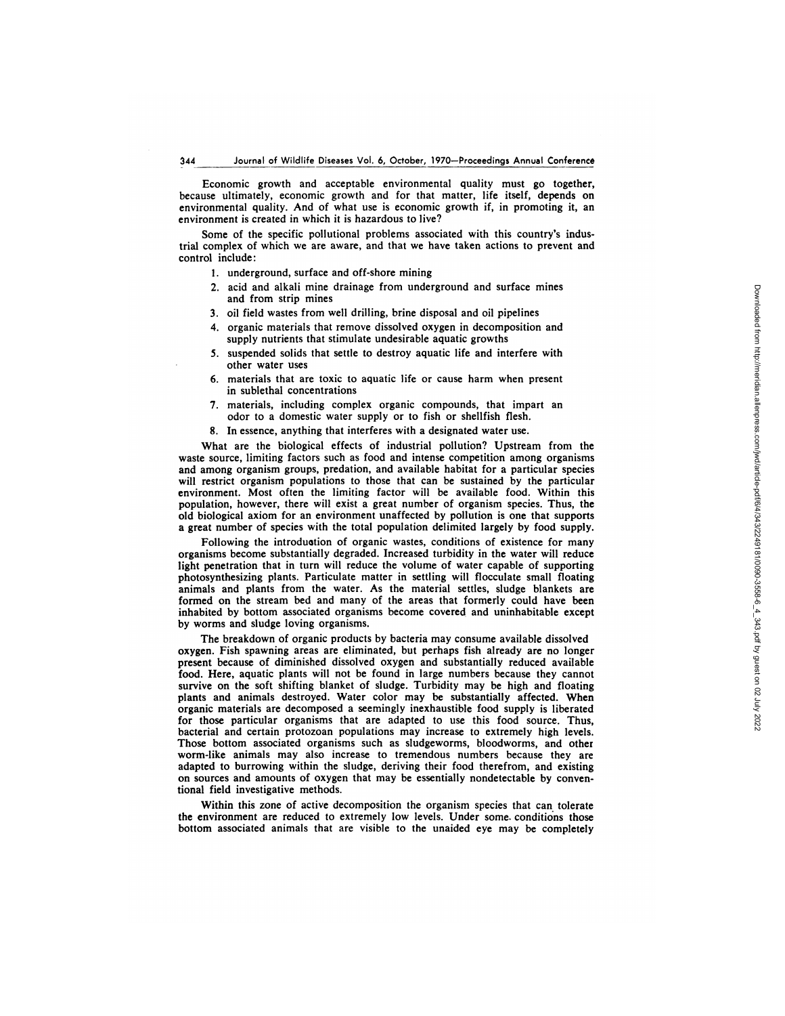Economic growth and acceptable environmental quality must go together, because ultimately, economic growth and for that matter, life itself, depends on environmental quality. And of what use is economic growth if, in promoting it, an environment is created in which it is hazardous to live?

Some of the specific pollutional problems associated with this country's industrial complex of which we are aware, and that we have taken actions to prevent and control include:

- 1. underground, surface and off-shore mining
- 2. acid and alkali mine drainage from underground and surface mines and from strip mines
- 3. oil field wastes from well drilling, brine disposal and oil pipelines
- 4. organic materials that remove dissolved oxygen in decomposition and supply nutrients that stimulate undesirable aquatic growths
- 5. suspended solids that settle to destroy aquatic life and interfere with other water uses
- 6. materials that are toxic to aquatic life or cause harm when present in sublethal concentrations
- 7. materials, including complex organic compounds, that impart an odor to a domestic water supply or to fish or shellfish flesh.
- 8. In essence, anything that interferes with a designated water use.

What are the biological effects of industrial pollution? Upstream from the waste source, limiting factors such as food and intense competition among organisms and among organism groups, predation, and available habitat for a particular species will restrict organism populations to those that can be sustained by the particular environment. Most often the limiting factor will be available food. Within this population, however, there will exist a great number of organism species. Thus, the old biological axiom for an environment unaffected by pollution is one that supports a great number of species with the total population delimited largely by food supply.

Following the introduation of organic wastes, conditions of existence for many organisms become substantially degraded. Increased turbidity in the water will reduce light penetration that in turn will reduce the volume of water capable of supporting photosynthesizing plants. Particulate matter in settling will flocculate small floating animals and plants from the water. As the material settles, sludge blankets are formed on the stream bed and many of the areas that formerly could have been inhabited by bottom associated organisms become covered and uninhabitable except by worms and sludge loving organisms.

The breakdown of organic products by bacteria may consume available dissolved oxygen. Fish spawning areas are eliminated, but perhaps fish already are no longer present because of diminished dissolved oxygen and substantially reduced available food. Here, aquatic plants will not be found in large numbers because they cannot survive on the soft shifting blanket of sludge. Turbidity may be high and floating plants and animals destroyed. Water color may be substantially affected. When organic materials are decomposed a seemingly inexhaustible food supply is liberated for those particular organisms that are adapted to use this food source. Thus, bacterial and certain protozoan populations may increase to extremely high levels. Those bottom associated organisms such as sludgeworms, bloodworms, and other worm-like animals may also increase to tremendous numbers because they are adapted to burrowing within the sludge, deriving their food therefrom, and existing on sources and amounts of oxygen that may be essentially nondetectable by conventional field investigative methods.

Within this zone of active decomposition the organism species that can tolerate the environment are reduced to extremely low levels. Under some. conditions those bottom associated animals that are visible to the unaided eye may be completely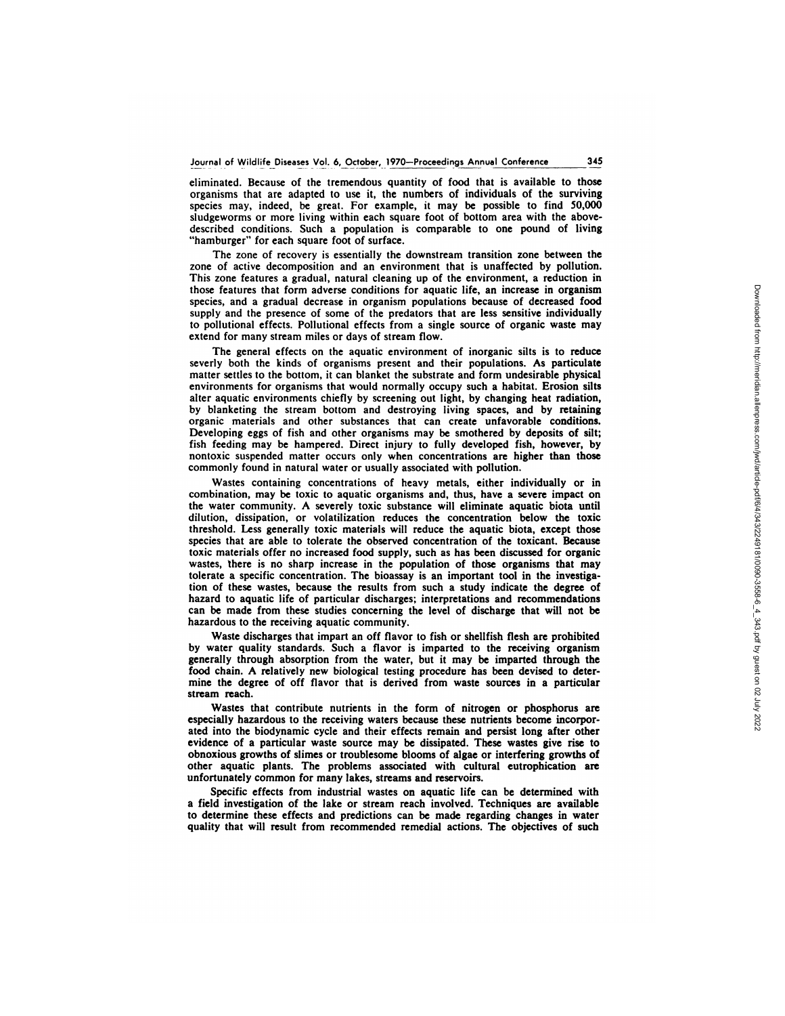eliminated. Because of the tremendous quantity of food that is available to those organisms that are adapted to use it, the numbers of individuals of the surviving species may, indeed, be great. For example, it may be possible to find 50,000 sludgeworms or more living within each square foot of bottom area with the abovedescribed conditions. Such a population is comparable to one pound of living "hamburger" for each square foot of surface.

The zone of recovery is essentially the downstream transition zone between the zone of active decomposition and an environment that is unaffected by pollution. This zone features a gradual, natural cleaning up of the environment, a reduction in those features that form adverse conditions for aquatic life, an increase in organism species, and a gradual decrease in organism populations because of decreased food supply and the presence of some of the predators that are less sensitive individually to pollutional effects. Pollutional effects from a single source of organic waste may extend for many stream miles or days of stream flow.

The general effects on the aquatic environment of inorganic silts is to reduce severly both the kinds of organisms present and their populations. As particulate matter settles to the bottom, it can blanket the substrate and form undesirable physical environments for organisms that would normally occupy such a habitat. Erosion silts alter aquatic environments chiefly by screening out light, by changing heat radiation, by blanketing the stream bottom and destroying living spaces, and by retaining organic materials and other substances that can create unfavorable conditions. Developing eggs of fish and other organisms may be smothered by deposits of silt; fish feeding may be hampered. Direct injury to fully developed fish, however, by nontoxic suspended matter occurs only when concentrations are higher than those commonly found in natural water or usually associated with pollution.

Wastes containing concentrations of heavy metals, either individually or in combination, may be toxic to aquatic organisms and, thus, have a severe impact on the water community. A severely toxic substance will eliminate aquatic biota until dilution, dissipation, or volatilization reduces the concentration below the toxic threshold. Less generally toxic materials will reduce the aquatic biota, except those species that are able to tolerate the observed concentration of the toxicant. Because toxic materials offer no increased food supply, such as has been discussed for organic wastes, there is no sharp increase in the population of those organisms that may tolerate a specific concentration. The bioassay is an important tool in the investigation of these wastes, because the results from such a study indicate the degree of hazard to aquatic life of particular discharges; interpretations and recommendations can be made from these studies concerning the level of discharge that will not be hazardous to the receiving aquatic community.

Waste discharges that impart an off flavor to fish or shellfish flesh are prohibited by water quality standards. Such a flavor is imparted to the receiving organism generally through absorption from the water, but it may be imparted through the food chain. A relatively new biological testing procedure has been devised to determine the degree of off flavor that is derived from waste sources in a particular stream reach.

Wastes that contribute nutrients in the form of nitrogen or phosphorus are especially hazardous to the receiving waters because these nutrients become incorporated into the biodynamic cycle and their effects remain and persist long after other evidence of a particular waste source may be dissipated. These wastes give rise to obnoxious growths of slimes or troublesome blooms of algae or interfering growths of other aquatic plants. The problems associated with cultural eutrophication are unfortunately common for many lakes, streams and reservoirs.

Specific effects from industrial wastes on aquatic life can be determined with a field investigation of the lake or stream reach involved. Techniques are available to determine these effects and predictions can be made regarding changes in water quality that will result from recommended remedial actions. The objectives of such